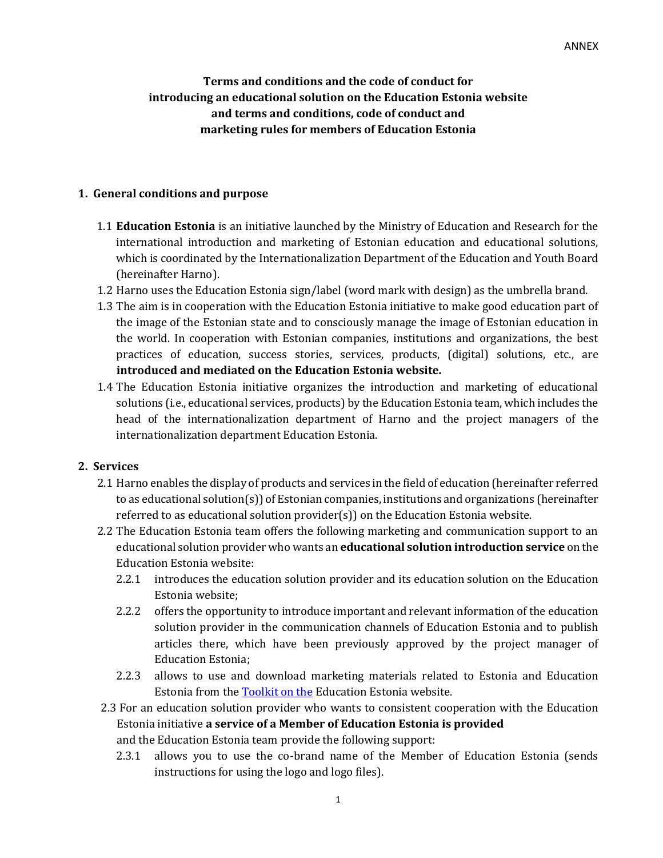# **Terms and conditions and the code of conduct for introducing an educational solution on the Education Estonia website and terms and conditions, code of conduct and marketing rules for members of Education Estonia**

### **1. General conditions and purpose**

- 1.1 **Education Estonia** is an initiative launched by the Ministry of Education and Research for the international introduction and marketing of Estonian education and educational solutions, which is coordinated by the Internationalization Department of the Education and Youth Board (hereinafter Harno).
- 1.2 Harno uses the Education Estonia sign/label (word mark with design) as the umbrella brand.
- 1.3 The aim is in cooperation with the Education Estonia initiative to make good education part of the image of the Estonian state and to consciously manage the image of Estonian education in the world. In cooperation with Estonian companies, institutions and organizations, the best practices of education, success stories, services, products, (digital) solutions, etc., are **introduced and mediated on the Education Estonia website.**
- 1.4 The Education Estonia initiative organizes the introduction and marketing of educational solutions (i.e., educational services, products) by the Education Estonia team, which includes the head of the internationalization department of Harno and the project managers of the internationalization department Education Estonia.

## **2. Services**

- 2.1 Harno enables the display of products and services in the field of education (hereinafter referred to as educational solution(s)) of Estonian companies, institutions and organizations (hereinafter referred to as educational solution provider(s)) on the Education Estonia website.
- 2.2 The Education Estonia team offers the following marketing and communication support to an educational solution provider who wants an **educational solution introduction service** on the Education Estonia website:
	- 2.2.1 introduces the education solution provider and its education solution on the Education Estonia website;
	- 2.2.2 offers the opportunity to introduce important and relevant information of the education solution provider in the communication channels of Education Estonia and to publish articles there, which have been previously approved by the project manager of Education Estonia;
	- 2.2.3 allows to use and download marketing materials related to Estonia and Education Estonia from th[e Toolkit on the](https://www.educationestonia.org/marketing-toolkit/) Education Estonia website.
- 2.3 For an education solution provider who wants to consistent cooperation with the Education Estonia initiative **a service of a Member of Education Estonia is provided**  and the Education Estonia team provide the following support:
	- 2.3.1 allows you to use the co-brand name of the Member of Education Estonia (sends instructions for using the logo and logo files).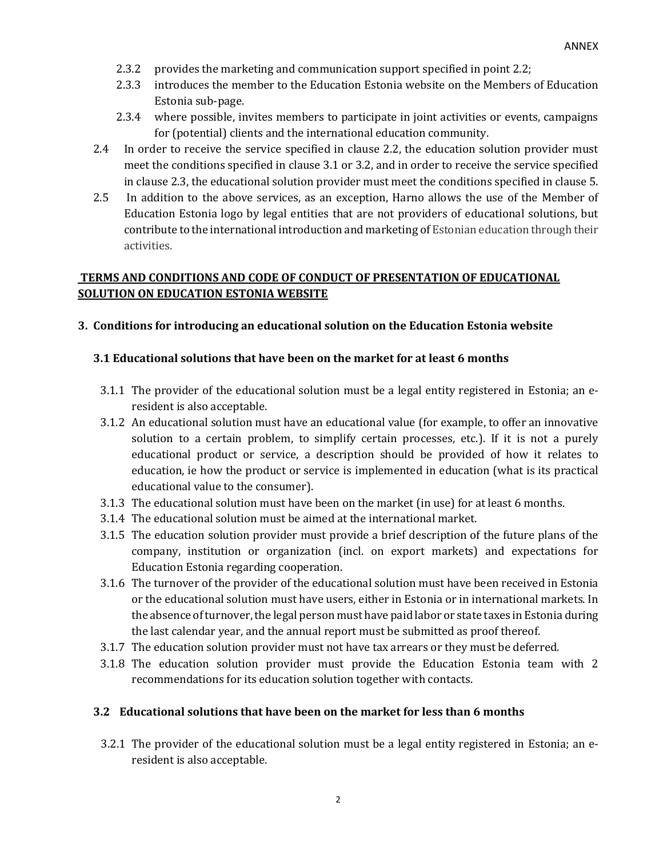- 2.3.2 provides the marketing and communication support specified in point 2.2;
- 2.3.3 introduces the member to the Education Estonia website on the Members of Education Estonia sub-page.
- 2.3.4 where possible, invites members to participate in joint activities or events, campaigns for (potential) clients and the international education community.
- 2.4 In order to receive the service specified in clause 2.2, the education solution provider must meet the conditions specified in clause 3.1 or 3.2, and in order to receive the service specified in clause 2.3, the educational solution provider must meet the conditions specified in clause 5.
- 2.5 In addition to the above services, as an exception, Harno allows the use of the Member of Education Estonia logo by legal entities that are not providers of educational solutions, but contribute to the international introduction and marketing of Estonian education through their activities.

## **TERMS AND CONDITIONS AND CODE OF CONDUCT OF PRESENTATION OF EDUCATIONAL SOLUTION ON EDUCATION ESTONIA WEBSITE**

### **3. Conditions for introducing an educational solution on the Education Estonia website**

### **3.1 Educational solutions that have been on the market for at least 6 months**

- 3.1.1 The provider of the educational solution must be a legal entity registered in Estonia; an eresident is also acceptable.
- 3.1.2 An educational solution must have an educational value (for example, to offer an innovative solution to a certain problem, to simplify certain processes, etc.). If it is not a purely educational product or service, a description should be provided of how it relates to education, ie how the product or service is implemented in education (what is its practical educational value to the consumer).
- 3.1.3 The educational solution must have been on the market (in use) for at least 6 months.
- 3.1.4 The educational solution must be aimed at the international market.
- 3.1.5 The education solution provider must provide a brief description of the future plans of the company, institution or organization (incl. on export markets) and expectations for Education Estonia regarding cooperation.
- 3.1.6 The turnover of the provider of the educational solution must have been received in Estonia or the educational solution must have users, either in Estonia or in international markets. In the absence of turnover, the legal person must have paid labor or state taxes in Estonia during the last calendar year, and the annual report must be submitted as proof thereof.
- 3.1.7 The education solution provider must not have tax arrears or they must be deferred.
- 3.1.8 The education solution provider must provide the Education Estonia team with 2 recommendations for its education solution together with contacts.

### **3.2 Educational solutions that have been on the market for less than 6 months**

3.2.1 The provider of the educational solution must be a legal entity registered in Estonia; an eresident is also acceptable.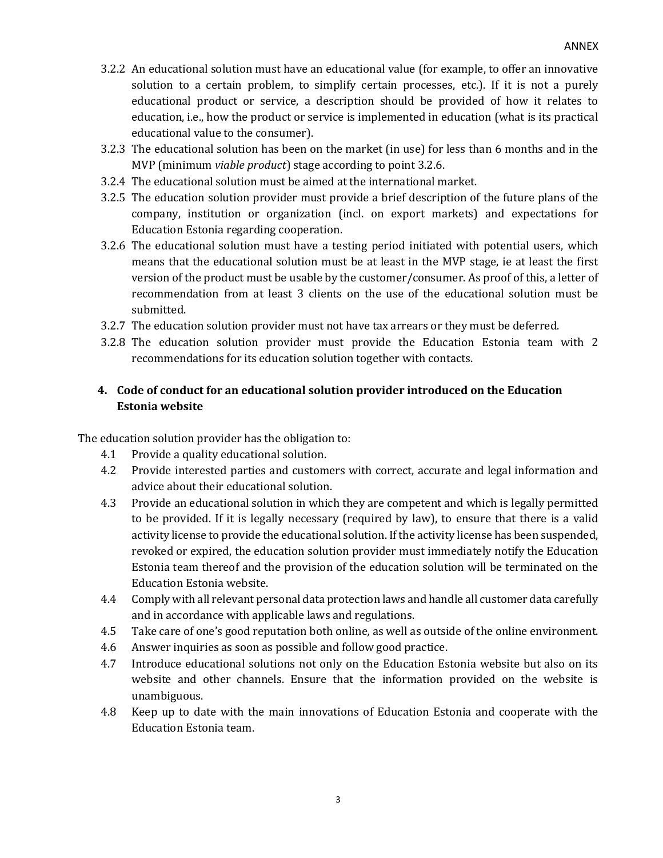- 3.2.2 An educational solution must have an educational value (for example, to offer an innovative solution to a certain problem, to simplify certain processes, etc.). If it is not a purely educational product or service, a description should be provided of how it relates to education, i.e., how the product or service is implemented in education (what is its practical educational value to the consumer).
- 3.2.3 The educational solution has been on the market (in use) for less than 6 months and in the MVP (minimum *viable product*) stage according to point 3.2.6.
- 3.2.4 The educational solution must be aimed at the international market.
- 3.2.5 The education solution provider must provide a brief description of the future plans of the company, institution or organization (incl. on export markets) and expectations for Education Estonia regarding cooperation.
- 3.2.6 The educational solution must have a testing period initiated with potential users, which means that the educational solution must be at least in the MVP stage, ie at least the first version of the product must be usable by the customer/consumer. As proof of this, a letter of recommendation from at least 3 clients on the use of the educational solution must be submitted.
- 3.2.7 The education solution provider must not have tax arrears or they must be deferred.
- 3.2.8 The education solution provider must provide the Education Estonia team with 2 recommendations for its education solution together with contacts.

# **4. Code of conduct for an educational solution provider introduced on the Education Estonia website**

The education solution provider has the obligation to:

- 4.1 Provide a quality educational solution.
- 4.2 Provide interested parties and customers with correct, accurate and legal information and advice about their educational solution.
- 4.3 Provide an educational solution in which they are competent and which is legally permitted to be provided. If it is legally necessary (required by law), to ensure that there is a valid activity license to provide the educational solution. If the activity license has been suspended, revoked or expired, the education solution provider must immediately notify the Education Estonia team thereof and the provision of the education solution will be terminated on the Education Estonia website.
- 4.4 Comply with all relevant personal data protection laws and handle all customer data carefully and in accordance with applicable laws and regulations.
- 4.5 Take care of one's good reputation both online*,* as well as outside of the online environment.
- 4.6 Answer inquiries as soon as possible and follow good practice.
- 4.7 Introduce educational solutions not only on the Education Estonia website but also on its website and other channels. Ensure that the information provided on the website is unambiguous.
- 4.8 Keep up to date with the main innovations of Education Estonia and cooperate with the Education Estonia team.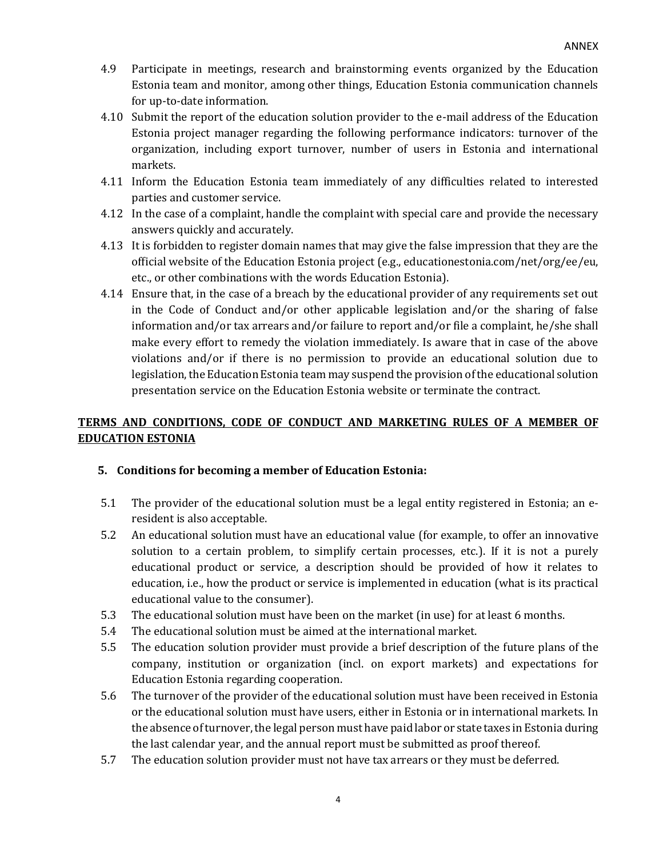- 4.9 Participate in meetings, research and brainstorming events organized by the Education Estonia team and monitor, among other things, Education Estonia communication channels for up-to-date information.
- 4.10 Submit the report of the education solution provider to the e-mail address of the Education Estonia project manager regarding the following performance indicators: turnover of the organization, including export turnover, number of users in Estonia and international markets.
- 4.11 Inform the Education Estonia team immediately of any difficulties related to interested parties and customer service.
- 4.12 In the case of a complaint, handle the complaint with special care and provide the necessary answers quickly and accurately.
- 4.13 It is forbidden to register domain names that may give the false impression that they are the official website of the Education Estonia project (e.g., educationestonia.com/net/org/ee/eu, etc., or other combinations with the words Education Estonia).
- 4.14 Ensure that, in the case of a breach by the educational provider of any requirements set out in the Code of Conduct and/or other applicable legislation and/or the sharing of false information and/or tax arrears and/or failure to report and/or file a complaint, he/she shall make every effort to remedy the violation immediately. Is aware that in case of the above violations and/or if there is no permission to provide an educational solution due to legislation, the Education Estonia team may suspend the provision of the educational solution presentation service on the Education Estonia website or terminate the contract.

# **TERMS AND CONDITIONS, CODE OF CONDUCT AND MARKETING RULES OF A MEMBER OF EDUCATION ESTONIA**

## **5. Conditions for becoming a member of Education Estonia:**

- 5.1 The provider of the educational solution must be a legal entity registered in Estonia; an eresident is also acceptable.
- 5.2 An educational solution must have an educational value (for example, to offer an innovative solution to a certain problem, to simplify certain processes, etc.). If it is not a purely educational product or service, a description should be provided of how it relates to education, i.e., how the product or service is implemented in education (what is its practical educational value to the consumer).
- 5.3 The educational solution must have been on the market (in use) for at least 6 months.
- 5.4 The educational solution must be aimed at the international market.
- 5.5 The education solution provider must provide a brief description of the future plans of the company, institution or organization (incl. on export markets) and expectations for Education Estonia regarding cooperation.
- 5.6 The turnover of the provider of the educational solution must have been received in Estonia or the educational solution must have users, either in Estonia or in international markets. In the absence of turnover, the legal person must have paid labor or state taxes in Estonia during the last calendar year, and the annual report must be submitted as proof thereof.
- 5.7 The education solution provider must not have tax arrears or they must be deferred.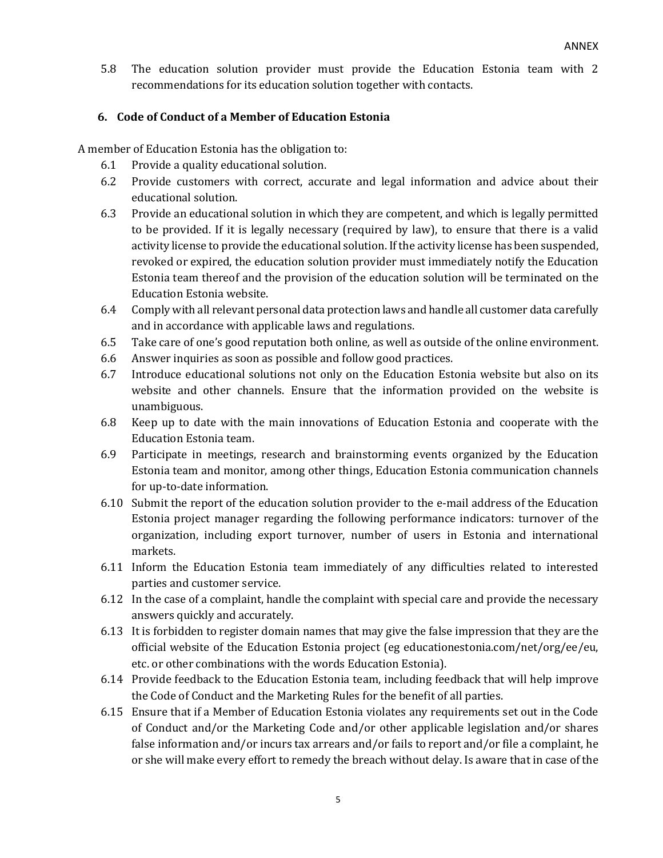5.8 The education solution provider must provide the Education Estonia team with 2 recommendations for its education solution together with contacts.

### **6. Code of Conduct of a Member of Education Estonia**

A member of Education Estonia has the obligation to:

- 6.1 Provide a quality educational solution.
- 6.2 Provide customers with correct, accurate and legal information and advice about their educational solution.
- 6.3 Provide an educational solution in which they are competent, and which is legally permitted to be provided. If it is legally necessary (required by law), to ensure that there is a valid activity license to provide the educational solution. If the activity license has been suspended, revoked or expired, the education solution provider must immediately notify the Education Estonia team thereof and the provision of the education solution will be terminated on the Education Estonia website.
- 6.4 Comply with all relevant personal data protection laws and handle all customer data carefully and in accordance with applicable laws and regulations.
- 6.5 Take care of one's good reputation both online*,* as well as outside of the online environment.
- 6.6 Answer inquiries as soon as possible and follow good practices.
- 6.7 Introduce educational solutions not only on the Education Estonia website but also on its website and other channels. Ensure that the information provided on the website is unambiguous.
- 6.8 Keep up to date with the main innovations of Education Estonia and cooperate with the Education Estonia team.
- 6.9 Participate in meetings, research and brainstorming events organized by the Education Estonia team and monitor, among other things, Education Estonia communication channels for up-to-date information.
- 6.10 Submit the report of the education solution provider to the e-mail address of the Education Estonia project manager regarding the following performance indicators: turnover of the organization, including export turnover, number of users in Estonia and international markets.
- 6.11 Inform the Education Estonia team immediately of any difficulties related to interested parties and customer service.
- 6.12 In the case of a complaint, handle the complaint with special care and provide the necessary answers quickly and accurately.
- 6.13 It is forbidden to register domain names that may give the false impression that they are the official website of the Education Estonia project (eg educationestonia.com/net/org/ee/eu, etc. or other combinations with the words Education Estonia).
- 6.14 Provide feedback to the Education Estonia team, including feedback that will help improve the Code of Conduct and the Marketing Rules for the benefit of all parties.
- 6.15 Ensure that if a Member of Education Estonia violates any requirements set out in the Code of Conduct and/or the Marketing Code and/or other applicable legislation and/or shares false information and/or incurs tax arrears and/or fails to report and/or file a complaint, he or she will make every effort to remedy the breach without delay. Is aware that in case of the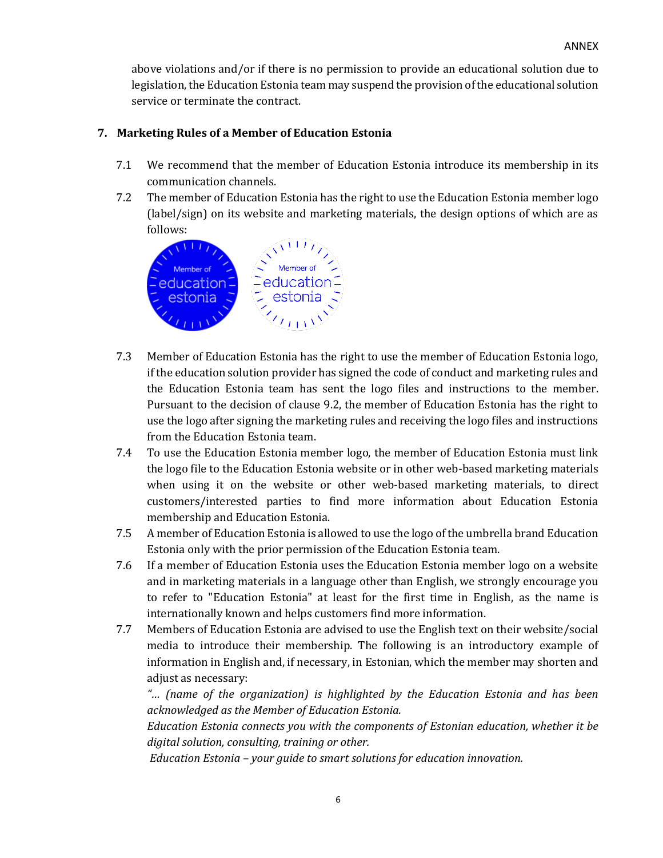above violations and/or if there is no permission to provide an educational solution due to legislation, the Education Estonia team may suspend the provision of the educational solution service or terminate the contract.

## **7. Marketing Rules of a Member of Education Estonia**

- 7.1 We recommend that the member of Education Estonia introduce its membership in its communication channels.
- 7.2 The member of Education Estonia has the right to use the Education Estonia member logo (label/sign) on its website and marketing materials, the design options of which are as follows:



- 7.3 Member of Education Estonia has the right to use the member of Education Estonia logo, if the education solution provider has signed the code of conduct and marketing rules and the Education Estonia team has sent the logo files and instructions to the member. Pursuant to the decision of clause 9.2, the member of Education Estonia has the right to use the logo after signing the marketing rules and receiving the logo files and instructions from the Education Estonia team.
- 7.4 To use the Education Estonia member logo, the member of Education Estonia must link the logo file to the Education Estonia website or in other web-based marketing materials when using it on the website or other web-based marketing materials, to direct customers/interested parties to find more information about Education Estonia membership and Education Estonia.
- 7.5 A member of Education Estonia is allowed to use the logo of the umbrella brand Education Estonia only with the prior permission of the Education Estonia team.
- 7.6 If a member of Education Estonia uses the Education Estonia member logo on a website and in marketing materials in a language other than English, we strongly encourage you to refer to "Education Estonia" at least for the first time in English, as the name is internationally known and helps customers find more information.
- 7.7 Members of Education Estonia are advised to use the English text on their website/social media to introduce their membership. The following is an introductory example of information in English and, if necessary, in Estonian, which the member may shorten and adjust as necessary:

*"… (name of the organization) is highlighted by the Education Estonia and has been acknowledged as the Member of Education Estonia.* 

*Education Estonia connects you with the components of Estonian education, whether it be digital solution, consulting, training or other.*

*Education Estonia – your guide to smart solutions for education innovation.*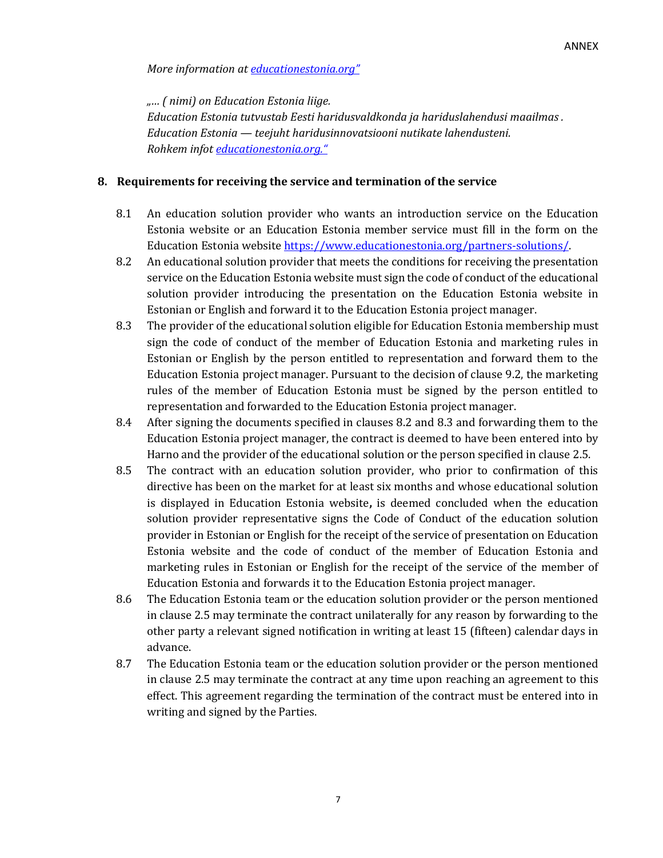*More information at [educationestonia.org](https://www.educationestonia.org/)"*

*"… ( nimi) on Education Estonia liige. Education Estonia tutvustab Eesti haridusvaldkonda ja hariduslahendusi maailmas . Education Estonia — teejuht haridusinnovatsiooni nutikate lahendusteni. Rohkem infot [educationestonia.org](https://www.educationestonia.org/)."*

### **8. Requirements for receiving the service and termination of the service**

- 8.1 An education solution provider who wants an introduction service on the Education Estonia website or an Education Estonia member service must fill in the form on the Education Estonia websit[e https://www.educationestonia.org/partners-solutions/.](https://www.educationestonia.org/partners-solutions/)
- 8.2 An educational solution provider that meets the conditions for receiving the presentation service on the Education Estonia website must sign the code of conduct of the educational solution provider introducing the presentation on the Education Estonia website in Estonian or English and forward it to the Education Estonia project manager.
- 8.3 The provider of the educational solution eligible for Education Estonia membership must sign the code of conduct of the member of Education Estonia and marketing rules in Estonian or English by the person entitled to representation and forward them to the Education Estonia project manager. Pursuant to the decision of clause 9.2, the marketing rules of the member of Education Estonia must be signed by the person entitled to representation and forwarded to the Education Estonia project manager.
- 8.4 After signing the documents specified in clauses 8.2 and 8.3 and forwarding them to the Education Estonia project manager, the contract is deemed to have been entered into by Harno and the provider of the educational solution or the person specified in clause 2.5.
- 8.5 The contract with an education solution provider, who prior to confirmation of this directive has been on the market for at least six months and whose educational solution is displayed in Education Estonia website**,** is deemed concluded when the education solution provider representative signs the Code of Conduct of the education solution provider in Estonian or English for the receipt of the service of presentation on Education Estonia website and the code of conduct of the member of Education Estonia and marketing rules in Estonian or English for the receipt of the service of the member of Education Estonia and forwards it to the Education Estonia project manager.
- 8.6 The Education Estonia team or the education solution provider or the person mentioned in clause 2.5 may terminate the contract unilaterally for any reason by forwarding to the other party a relevant signed notification in writing at least 15 (fifteen) calendar days in advance.
- 8.7 The Education Estonia team or the education solution provider or the person mentioned in clause 2.5 may terminate the contract at any time upon reaching an agreement to this effect. This agreement regarding the termination of the contract must be entered into in writing and signed by the Parties.